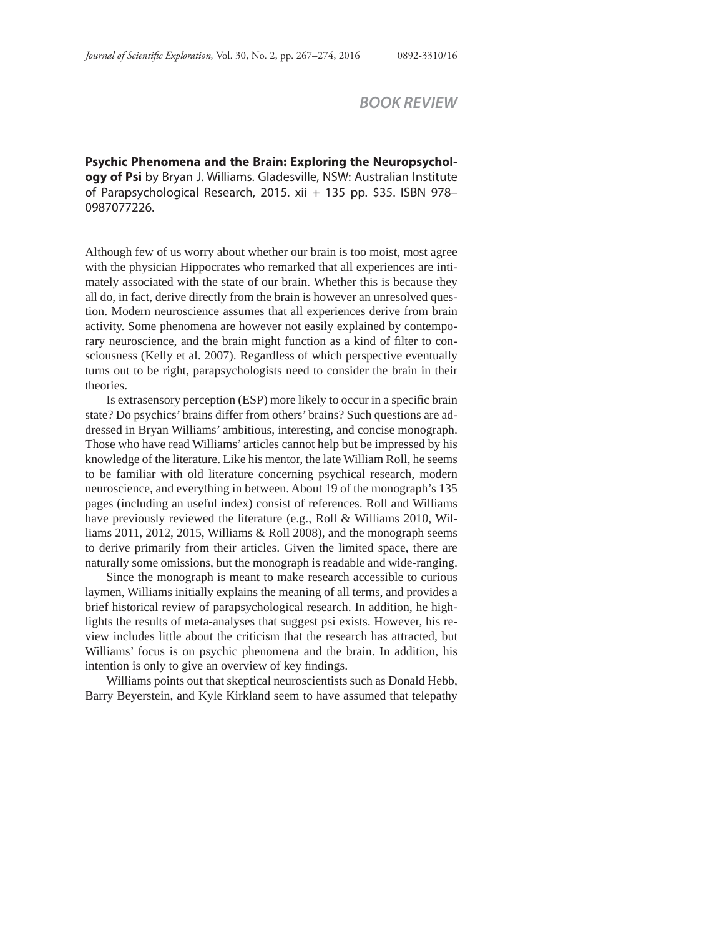## *BOOK REVIEW*

**Psychic Phenomena and the Brain: Exploring the Neuropsychology of Psi** by Bryan J. Williams. Gladesville, NSW: Australian Institute of Parapsychological Research, 2015. xii + 135 pp. \$35. ISBN 978– 0987077226.

Although few of us worry about whether our brain is too moist, most agree with the physician Hippocrates who remarked that all experiences are intimately associated with the state of our brain. Whether this is because they all do, in fact, derive directly from the brain is however an unresolved question. Modern neuroscience assumes that all experiences derive from brain activity. Some phenomena are however not easily explained by contemporary neuroscience, and the brain might function as a kind of filter to consciousness (Kelly et al. 2007). Regardless of which perspective eventually turns out to be right, parapsychologists need to consider the brain in their theories.

Is extrasensory perception (ESP) more likely to occur in a specific brain state? Do psychics' brains differ from others' brains? Such questions are addressed in Bryan Williams' ambitious, interesting, and concise monograph. Those who have read Williams' articles cannot help but be impressed by his knowledge of the literature. Like his mentor, the late William Roll, he seems to be familiar with old literature concerning psychical research, modern neuroscience, and everything in between. About 19 of the monograph's 135 pages (including an useful index) consist of references. Roll and Williams have previously reviewed the literature (e.g., Roll & Williams 2010, Williams 2011, 2012, 2015, Williams & Roll 2008), and the monograph seems to derive primarily from their articles. Given the limited space, there are naturally some omissions, but the monograph is readable and wide-ranging.

Since the monograph is meant to make research accessible to curious laymen, Williams initially explains the meaning of all terms, and provides a brief historical review of parapsychological research. In addition, he highlights the results of meta-analyses that suggest psi exists. However, his review includes little about the criticism that the research has attracted, but Williams' focus is on psychic phenomena and the brain. In addition, his intention is only to give an overview of key findings.

Williams points out that skeptical neuroscientists such as Donald Hebb, Barry Beyerstein, and Kyle Kirkland seem to have assumed that telepathy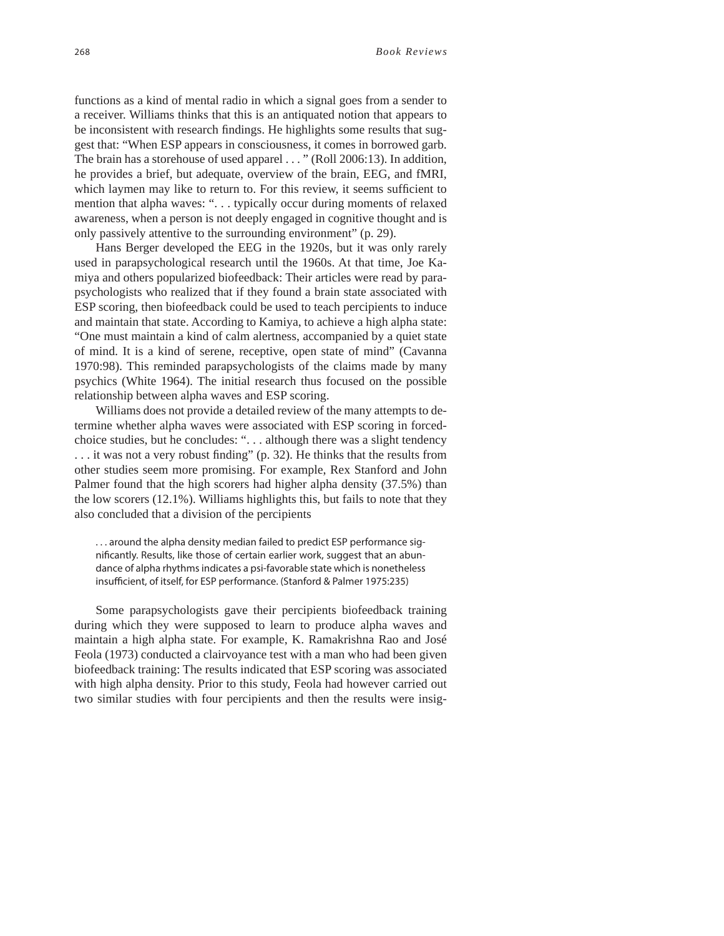functions as a kind of mental radio in which a signal goes from a sender to a receiver. Williams thinks that this is an antiquated notion that appears to be inconsistent with research findings. He highlights some results that suggest that: "When ESP appears in consciousness, it comes in borrowed garb. The brain has a storehouse of used apparel . . . " (Roll 2006:13). In addition, he provides a brief, but adequate, overview of the brain, EEG, and fMRI, which laymen may like to return to. For this review, it seems sufficient to mention that alpha waves: ". . . typically occur during moments of relaxed awareness, when a person is not deeply engaged in cognitive thought and is only passively attentive to the surrounding environment" (p. 29).

Hans Berger developed the EEG in the 1920s, but it was only rarely used in parapsychological research until the 1960s. At that time, Joe Kamiya and others popularized biofeedback: Their articles were read by parapsychologists who realized that if they found a brain state associated with ESP scoring, then biofeedback could be used to teach percipients to induce and maintain that state. According to Kamiya, to achieve a high alpha state: "One must maintain a kind of calm alertness, accompanied by a quiet state of mind. It is a kind of serene, receptive, open state of mind" (Cavanna 1970:98). This reminded parapsychologists of the claims made by many psychics (White 1964). The initial research thus focused on the possible relationship between alpha waves and ESP scoring.

Williams does not provide a detailed review of the many attempts to determine whether alpha waves were associated with ESP scoring in forcedchoice studies, but he concludes: ". . . although there was a slight tendency ... it was not a very robust finding" (p. 32). He thinks that the results from other studies seem more promising. For example, Rex Stanford and John Palmer found that the high scorers had higher alpha density (37.5%) than the low scorers (12.1%). Williams highlights this, but fails to note that they also concluded that a division of the percipients

... around the alpha density median failed to predict ESP performance significantly. Results, like those of certain earlier work, suggest that an abundance of alpha rhythms indicates a psi-favorable state which is nonetheless insufficient, of itself, for ESP performance. (Stanford & Palmer 1975:235)

Some parapsychologists gave their percipients biofeedback training during which they were supposed to learn to produce alpha waves and maintain a high alpha state. For example, K. Ramakrishna Rao and José Feola (1973) conducted a clairvoyance test with a man who had been given biofeedback training: The results indicated that ESP scoring was associated with high alpha density. Prior to this study, Feola had however carried out two similar studies with four percipients and then the results were insig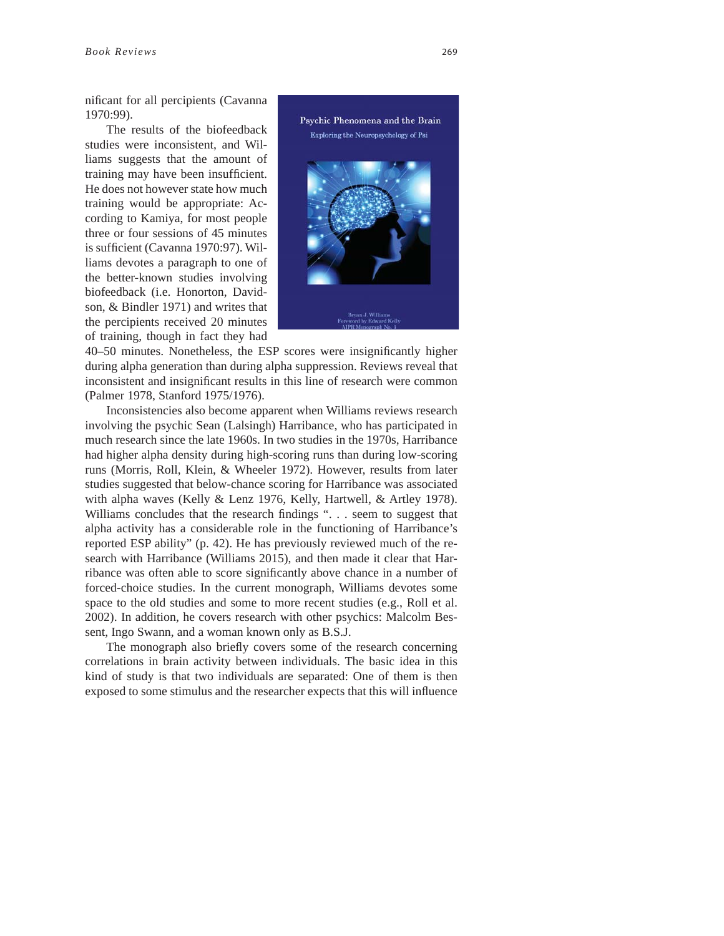nificant for all percipients (Cavanna 1970:99).

The results of the biofeedback studies were inconsistent, and Williams suggests that the amount of training may have been insufficient. He does not however state how much training would be appropriate: According to Kamiya, for most people three or four sessions of 45 minutes is sufficient (Cavanna 1970:97). Williams devotes a paragraph to one of the better-known studies involving biofeedback (i.e. Honorton, Davidson, & Bindler 1971) and writes that the percipients received 20 minutes of training, though in fact they had



40–50 minutes. Nonetheless, the ESP scores were insignificantly higher during alpha generation than during alpha suppression. Reviews reveal that inconsistent and insignificant results in this line of research were common (Palmer 1978, Stanford 1975/1976).

Inconsistencies also become apparent when Williams reviews research involving the psychic Sean (Lalsingh) Harribance, who has participated in much research since the late 1960s. In two studies in the 1970s, Harribance had higher alpha density during high-scoring runs than during low-scoring runs (Morris, Roll, Klein, & Wheeler 1972). However, results from later studies suggested that below-chance scoring for Harribance was associated with alpha waves (Kelly & Lenz 1976, Kelly, Hartwell, & Artley 1978). Williams concludes that the research findings ". . . seem to suggest that alpha activity has a considerable role in the functioning of Harribance's reported ESP ability" (p. 42). He has previously reviewed much of the research with Harribance (Williams 2015), and then made it clear that Harribance was often able to score significantly above chance in a number of forced-choice studies. In the current monograph, Williams devotes some space to the old studies and some to more recent studies (e.g., Roll et al. 2002). In addition, he covers research with other psychics: Malcolm Bessent, Ingo Swann, and a woman known only as B.S.J.

The monograph also briefly covers some of the research concerning correlations in brain activity between individuals. The basic idea in this kind of study is that two individuals are separated: One of them is then exposed to some stimulus and the researcher expects that this will influence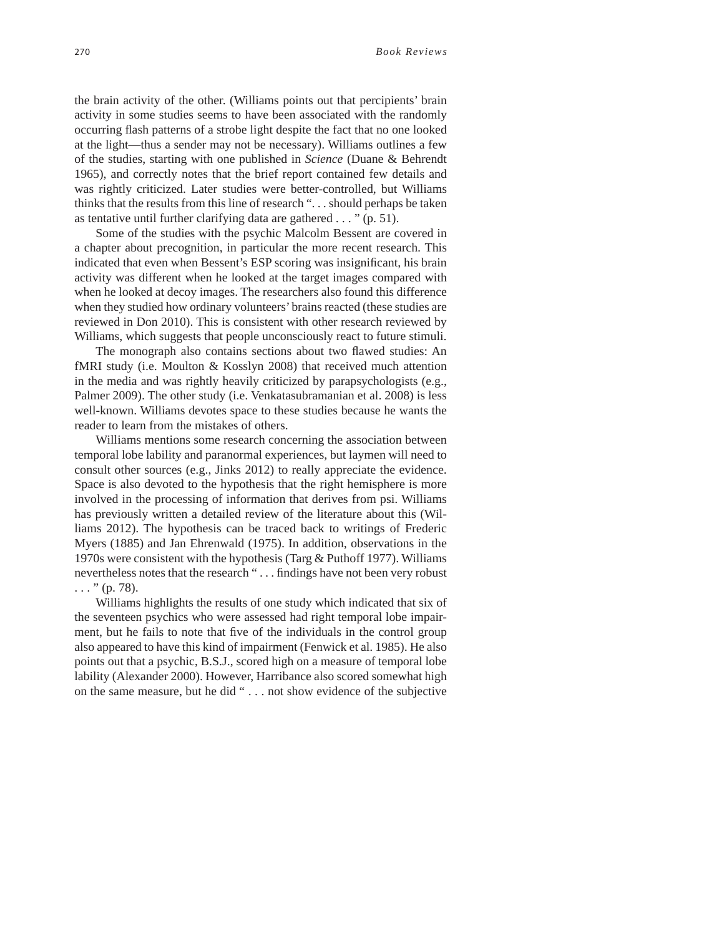the brain activity of the other. (Williams points out that percipients' brain activity in some studies seems to have been associated with the randomly occurring flash patterns of a strobe light despite the fact that no one looked at the light—thus a sender may not be necessary). Williams outlines a few of the studies, starting with one published in *Science* (Duane & Behrendt 1965), and correctly notes that the brief report contained few details and was rightly criticized. Later studies were better-controlled, but Williams thinks that the results from this line of research ". . . should perhaps be taken as tentative until further clarifying data are gathered . . . " (p. 51).

Some of the studies with the psychic Malcolm Bessent are covered in a chapter about precognition, in particular the more recent research. This indicated that even when Bessent's ESP scoring was insignificant, his brain activity was different when he looked at the target images compared with when he looked at decoy images. The researchers also found this difference when they studied how ordinary volunteers' brains reacted (these studies are reviewed in Don 2010). This is consistent with other research reviewed by Williams, which suggests that people unconsciously react to future stimuli.

The monograph also contains sections about two flawed studies: An fMRI study (i.e. Moulton & Kosslyn 2008) that received much attention in the media and was rightly heavily criticized by parapsychologists (e.g., Palmer 2009). The other study (i.e. Venkatasubramanian et al. 2008) is less well-known. Williams devotes space to these studies because he wants the reader to learn from the mistakes of others.

Williams mentions some research concerning the association between temporal lobe lability and paranormal experiences, but laymen will need to consult other sources (e.g., Jinks 2012) to really appreciate the evidence. Space is also devoted to the hypothesis that the right hemisphere is more involved in the processing of information that derives from psi. Williams has previously written a detailed review of the literature about this (Williams 2012). The hypothesis can be traced back to writings of Frederic Myers (1885) and Jan Ehrenwald (1975). In addition, observations in the 1970s were consistent with the hypothesis (Targ & Puthoff 1977). Williams nevertheless notes that the research "... findings have not been very robust  $\ldots$  " (p. 78).

Williams highlights the results of one study which indicated that six of the seventeen psychics who were assessed had right temporal lobe impairment, but he fails to note that five of the individuals in the control group also appeared to have this kind of impairment (Fenwick et al. 1985). He also points out that a psychic, B.S.J., scored high on a measure of temporal lobe lability (Alexander 2000). However, Harribance also scored somewhat high on the same measure, but he did " . . . not show evidence of the subjective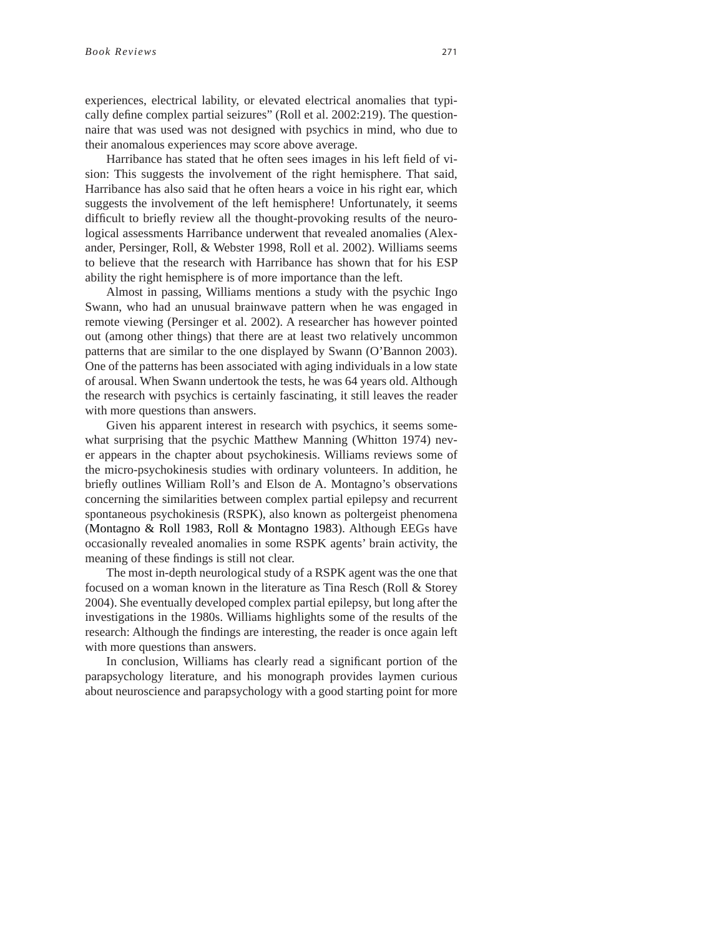experiences, electrical lability, or elevated electrical anomalies that typically define complex partial seizures" (Roll et al.  $2002:219$ ). The questionnaire that was used was not designed with psychics in mind, who due to their anomalous experiences may score above average.

Harribance has stated that he often sees images in his left field of vision: This suggests the involvement of the right hemisphere. That said, Harribance has also said that he often hears a voice in his right ear, which suggests the involvement of the left hemisphere! Unfortunately, it seems difficult to briefly review all the thought-provoking results of the neurological assessments Harribance underwent that revealed anomalies (Alexander, Persinger, Roll, & Webster 1998, Roll et al. 2002). Williams seems to believe that the research with Harribance has shown that for his ESP ability the right hemisphere is of more importance than the left.

Almost in passing, Williams mentions a study with the psychic Ingo Swann, who had an unusual brainwave pattern when he was engaged in remote viewing (Persinger et al. 2002). A researcher has however pointed out (among other things) that there are at least two relatively uncommon patterns that are similar to the one displayed by Swann (O'Bannon 2003). One of the patterns has been associated with aging individuals in a low state of arousal. When Swann undertook the tests, he was 64 years old. Although the research with psychics is certainly fascinating, it still leaves the reader with more questions than answers.

Given his apparent interest in research with psychics, it seems somewhat surprising that the psychic Matthew Manning (Whitton 1974) never appears in the chapter about psychokinesis. Williams reviews some of the micro-psychokinesis studies with ordinary volunteers. In addition, he briefly outlines William Roll's and Elson de A. Montagno's observations concerning the similarities between complex partial epilepsy and recurrent spontaneous psychokinesis (RSPK), also known as poltergeist phenomena (Montagno & Roll 1983, Roll & Montagno 1983). Although EEGs have occasionally revealed anomalies in some RSPK agents' brain activity, the meaning of these findings is still not clear.

The most in-depth neurological study of a RSPK agent was the one that focused on a woman known in the literature as Tina Resch (Roll & Storey 2004). She eventually developed complex partial epilepsy, but long after the investigations in the 1980s. Williams highlights some of the results of the research: Although the findings are interesting, the reader is once again left with more questions than answers.

In conclusion, Williams has clearly read a significant portion of the parapsychology literature, and his monograph provides laymen curious about neuroscience and parapsychology with a good starting point for more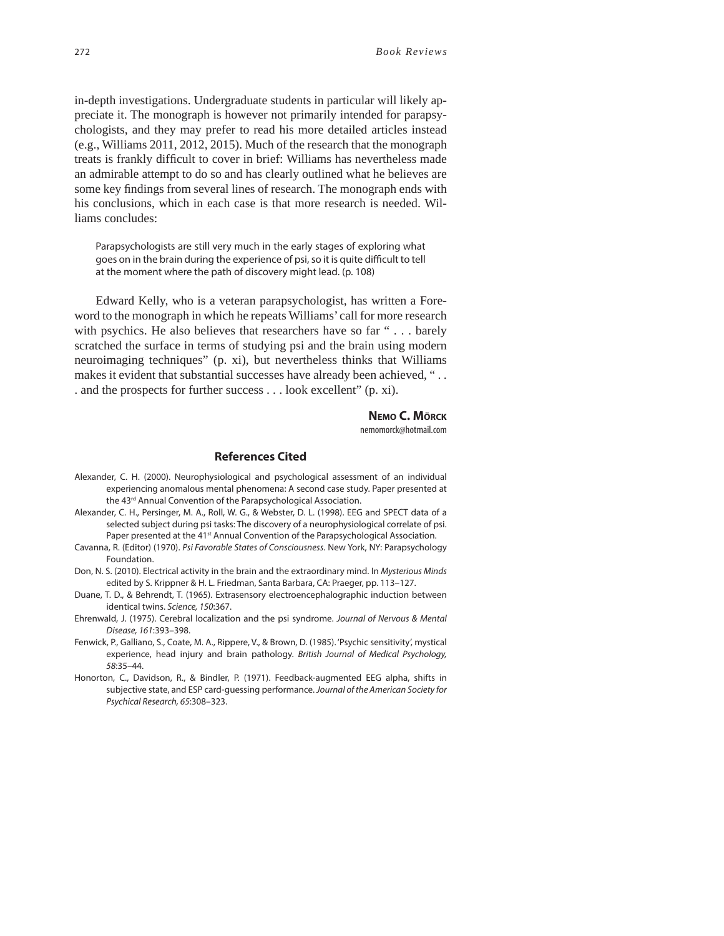in-depth investigations. Undergraduate students in particular will likely appreciate it. The monograph is however not primarily intended for parapsychologists, and they may prefer to read his more detailed articles instead (e.g., Williams 2011, 2012, 2015). Much of the research that the monograph treats is frankly difficult to cover in brief: Williams has nevertheless made an admirable attempt to do so and has clearly outlined what he believes are some key findings from several lines of research. The monograph ends with his conclusions, which in each case is that more research is needed. Williams concludes:

Parapsychologists are still very much in the early stages of exploring what goes on in the brain during the experience of psi, so it is quite difficult to tell at the moment where the path of discovery might lead. (p. 108)

Edward Kelly, who is a veteran parapsychologist, has written a Foreword to the monograph in which he repeats Williams' call for more research with psychics. He also believes that researchers have so far " . . . barely scratched the surface in terms of studying psi and the brain using modern neuroimaging techniques" (p. xi), but nevertheless thinks that Williams makes it evident that substantial successes have already been achieved, "... . and the prospects for further success . . . look excellent" (p. xi).

> **NEMO C. MÖRCK** nemomorck@hotmail.com

## **References Cited**

- Alexander, C. H. (2000). Neurophysiological and psychological assessment of an individual experiencing anomalous mental phenomena: A second case study. Paper presented at the 43<sup>rd</sup> Annual Convention of the Parapsychological Association.
- Alexander, C. H., Persinger, M. A., Roll, W. G., & Webster, D. L. (1998). EEG and SPECT data of a selected subject during psi tasks: The discovery of a neurophysiological correlate of psi. Paper presented at the 41<sup>st</sup> Annual Convention of the Parapsychological Association.
- Cavanna, R. (Editor) (1970). *Psi Favorable States of Consciousness*. New York, NY: Parapsychology Foundation.
- Don, N. S. (2010). Electrical activity in the brain and the extraordinary mind. In *Mysterious Minds* edited by S. Krippner & H. L. Friedman, Santa Barbara, CA: Praeger, pp. 113–127.
- Duane, T. D., & Behrendt, T. (1965). Extrasensory electroencephalographic induction between identical twins. *Science, 150*:367.
- Ehrenwald, J. (1975). Cerebral localization and the psi syndrome. *Journal of Nervous & Mental Disease, 161*:393–398.
- Fenwick, P., Galliano, S., Coate, M. A., Rippere, V., & Brown, D. (1985). 'Psychic sensitivity', mystical experience, head injury and brain pathology. *British Journal of Medical Psychology, 58*:35–44.
- Honorton, C., Davidson, R., & Bindler, P. (1971). Feedback-augmented EEG alpha, shifts in subjective state, and ESP card-guessing performance. *Journal of the American Society for Psychical Research, 65*:308–323.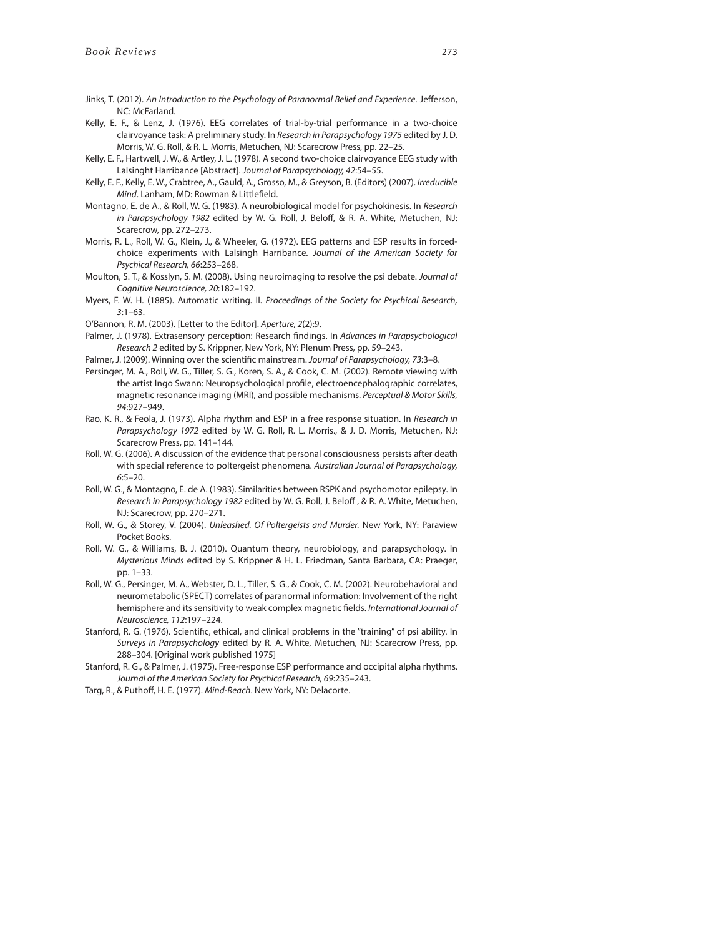- Jinks, T. (2012). An Introduction to the Psychology of Paranormal Belief and Experience. Jefferson, NC: McFarland.
- Kelly, E. F., & Lenz, J. (1976). EEG correlates of trial-by-trial performance in a two-choice clairvoyance task: A preliminary study. In *Research in Parapsychology 1975* edited by J. D. Morris, W. G. Roll, & R. L. Morris, Metuchen, NJ: Scarecrow Press, pp. 22–25.
- Kelly, E. F., Hartwell, J. W., & Artley, J. L. (1978). A second two-choice clairvoyance EEG study with Lalsinght Harribance [Abstract]. *Journal of Parapsychology, 42*:54–55.
- Kelly, E. F., Kelly, E. W., Crabtree, A., Gauld, A., Grosso, M., & Greyson, B. (Editors) (2007). *Irreducible Mind.* Lanham, MD: Rowman & Littlefield.
- Montagno, E. de A., & Roll, W. G. (1983). A neurobiological model for psychokinesis. In *Research in Parapsychology 1982* edited by W. G. Roll, J. Beloff, & R. A. White, Metuchen, NJ: Scarecrow, pp. 272–273.
- Morris, R. L., Roll, W. G., Klein, J., & Wheeler, G. (1972). EEG patterns and ESP results in forcedchoice experiments with Lalsingh Harribance. *Journal of the American Society for Psychical Research, 66*:253–268.
- Moulton, S. T., & Kosslyn, S. M. (2008). Using neuroimaging to resolve the psi debate. *Journal of Cognitive Neuroscience, 20*:182–192.
- Myers, F. W. H. (1885). Automatic writing. II. *Proceedings of the Society for Psychical Research, 3*:1–63.
- O'Bannon, R. M. (2003). [Letter to the Editor]. *Aperture, 2*(2):9.
- Palmer, J. (1978). Extrasensory perception: Research findings. In Advances in Parapsychological *Research 2* edited by S. Krippner, New York, NY: Plenum Press, pp. 59–243.
- Palmer, J. (2009). Winning over the scientific mainstream. *Journal of Parapsychology*, 73:3–8.
- Persinger, M. A., Roll, W. G., Tiller, S. G., Koren, S. A., & Cook, C. M. (2002). Remote viewing with the artist Ingo Swann: Neuropsychological profile, electroencephalographic correlates, magnetic resonance imaging (MRI), and possible mechanisms. *Perceptual & Motor Skills, 94*:927–949.
- Rao, K. R., & Feola, J. (1973). Alpha rhythm and ESP in a free response situation. In *Research in Parapsychology 1972* edited by W. G. Roll, R. L. Morris., & J. D. Morris, Metuchen, NJ: Scarecrow Press, pp. 141–144.
- Roll, W. G. (2006). A discussion of the evidence that personal consciousness persists after death with special reference to poltergeist phenomena. *Australian Journal of Parapsychology, 6*:5–20.
- Roll, W. G., & Montagno, E. de A. (1983). Similarities between RSPK and psychomotor epilepsy. In *Research in Parapsychology 1982* edited by W. G. Roll, J. Beloff , & R. A. White, Metuchen, NJ: Scarecrow, pp. 270–271.
- Roll, W. G., & Storey, V. (2004). *Unleashed. Of Poltergeists and Murder.* New York, NY: Paraview Pocket Books.
- Roll, W. G., & Williams, B. J. (2010). Quantum theory, neurobiology, and parapsychology. In *Mysterious Minds* edited by S. Krippner & H. L. Friedman, Santa Barbara, CA: Praeger, pp. 1–33.
- Roll, W. G., Persinger, M. A., Webster, D. L., Tiller, S. G., & Cook, C. M. (2002). Neurobehavioral and neurometabolic (SPECT) correlates of paranormal information: Involvement of the right hemisphere and its sensitivity to weak complex magnetic fields. *International Journal of Neuroscience, 112*:197–224.
- Stanford, R. G. (1976). Scientific, ethical, and clinical problems in the "training" of psi ability. In *Surveys in Parapsychology* edited by R. A. White, Metuchen, NJ: Scarecrow Press, pp. 288–304. [Original work published 1975]
- Stanford, R. G., & Palmer, J. (1975). Free-response ESP performance and occipital alpha rhythms. *Journal of the American Society for Psychical Research, 69*:235–243.
- Targ, R., & Puthoff, H. E. (1977). *Mind-Reach*. New York, NY: Delacorte.